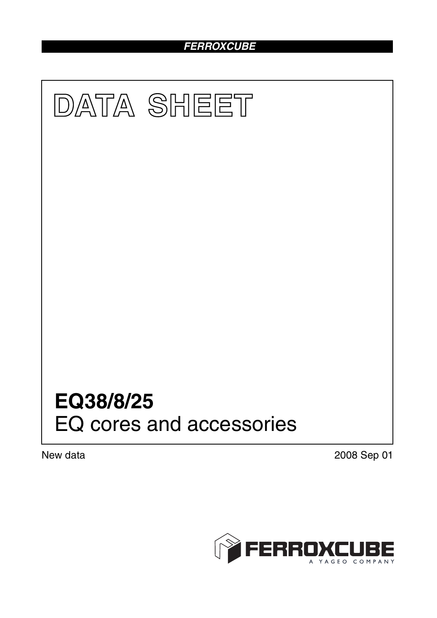# *FERROXCUBE*



New data 2008 Sep 01

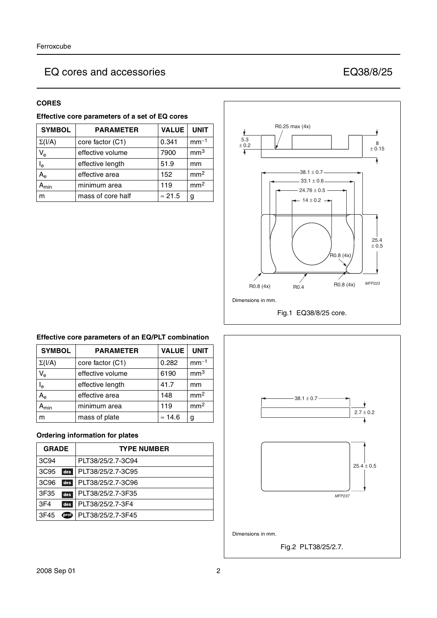## **CORES**

|  | Effective core parameters of a set of EQ cores |  |  |
|--|------------------------------------------------|--|--|
|  |                                                |  |  |

| <b>SYMBOL</b>  | <b>PARAMETER</b>  | <b>VALUE</b>   | <b>UNIT</b>     |
|----------------|-------------------|----------------|-----------------|
| $\Sigma(I/A)$  | core factor (C1)  | 0.341          | $mm-1$          |
| $V_{e}$        | effective volume  | 7900           | mm <sup>3</sup> |
| l <sub>e</sub> | effective length  | 51.9           | mm              |
| A <sub>e</sub> | effective area    | 152            | mm <sup>2</sup> |
| min            | minimum area      | 119            | mm <sup>2</sup> |
| m              | mass of core half | $\approx$ 21.5 |                 |



## **Effective core parameters of an EQ/PLT combination**

| <b>SYMBOL</b>             | <b>PARAMETER</b> | <b>VALUE</b>   | <b>UNIT</b>     |
|---------------------------|------------------|----------------|-----------------|
| $\Sigma(I/A)$             | core factor (C1) | 0.282          | $mm-1$          |
| $\mathsf{V}_{\mathsf{e}}$ | effective volume | 6190           | mm <sup>3</sup> |
| $\mathsf{I}_{\mathsf{e}}$ | effective length | 41.7           | mm              |
| $A_{\rm e}$               | effective area   | 148            | mm <sup>2</sup> |
| $A_{min}$                 | minimum area     | 119            | mm <sup>2</sup> |
| m                         | mass of plate    | $\approx$ 14.6 | g               |

## **Ordering information for plates**

| <b>GRADE</b>     |       | <b>TYPE NUMBER</b> |
|------------------|-------|--------------------|
| 3C94             |       | PLT38/25/2.7-3C94  |
| 3C <sub>95</sub> | des   | PLT38/25/2.7-3C95  |
| 3C <sub>96</sub> | des   | PLT38/25/2.7-3C96  |
| 3F35             | des   | PLT38/25/2.7-3F35  |
| 3F <sub>4</sub>  | des   | PLT38/25/2.7-3F4   |
| 3F45             | (prof | PLT38/25/2.7-3F45  |

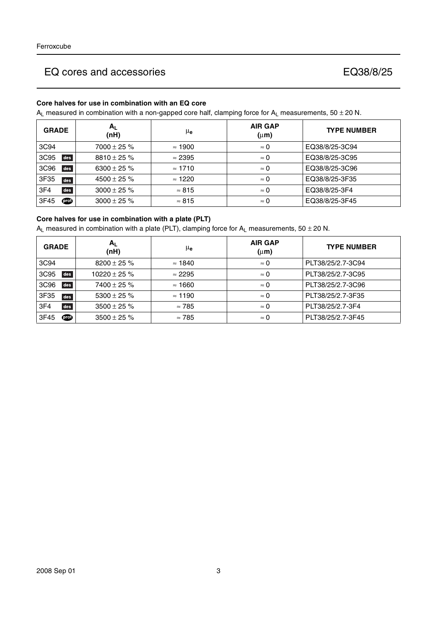## **Core halves for use in combination with an EQ core**

 $A_L$  measured in combination with a non-gapped core half, clamping force for  $A_L$  measurements, 50  $\pm$  20 N.

| <b>GRADE</b> | Αı<br>(nH)       | μ <sub>e</sub> | <b>AIR GAP</b><br>$(\mu m)$ | <b>TYPE NUMBER</b> |
|--------------|------------------|----------------|-----------------------------|--------------------|
| 3C94         | $7000 \pm 25 \%$ | $\approx$ 1900 | $\approx 0$                 | EQ38/8/25-3C94     |
| 3C95<br>des  | $8810 \pm 25 \%$ | $\approx$ 2395 | $\approx 0$                 | EQ38/8/25-3C95     |
| des<br>3C96  | 6300 ± 25 $%$    | $\approx$ 1710 | $\approx 0$                 | EQ38/8/25-3C96     |
| 3F35<br>des  | $4500 \pm 25 \%$ | $\approx$ 1220 | $\approx 0$                 | EQ38/8/25-3F35     |
| des<br>3F4   | $3000 \pm 25 \%$ | $\approx 815$  | $\approx 0$                 | EQ38/8/25-3F4      |
| 3F45<br>௵    | $3000 \pm 25 \%$ | $\approx 815$  | $\approx 0$                 | EQ38/8/25-3F45     |

#### **Core halves for use in combination with a plate (PLT)**

 $A_L$  measured in combination with a plate (PLT), clamping force for  $A_L$  measurements, 50  $\pm$  20 N.

| <b>GRADE</b>            | $A_{L}$<br>(nH)   | μe             | <b>AIR GAP</b><br>$(\mu m)$ | <b>TYPE NUMBER</b> |
|-------------------------|-------------------|----------------|-----------------------------|--------------------|
| 3C94                    | $8200 \pm 25 \%$  | $\approx$ 1840 | $\approx 0$                 | PLT38/25/2.7-3C94  |
| des<br>3C95             | $10220 \pm 25 \%$ | $\approx$ 2295 | $\approx 0$                 | PLT38/25/2.7-3C95  |
| 3C <sub>96</sub><br>des | $7400 \pm 25 \%$  | $\approx$ 1660 | $\approx 0$                 | PLT38/25/2.7-3C96  |
| 3F35<br>des             | 5300 $\pm$ 25 %   | $\approx$ 1190 | $\approx 0$                 | PLT38/25/2.7-3F35  |
| des<br>3F <sub>4</sub>  | $3500 \pm 25 \%$  | $\approx 785$  | $\approx 0$                 | PLT38/25/2.7-3F4   |
| 3F45<br>$\circ$         | $3500 \pm 25 \%$  | $\approx 785$  | $\approx 0$                 | PLT38/25/2.7-3F45  |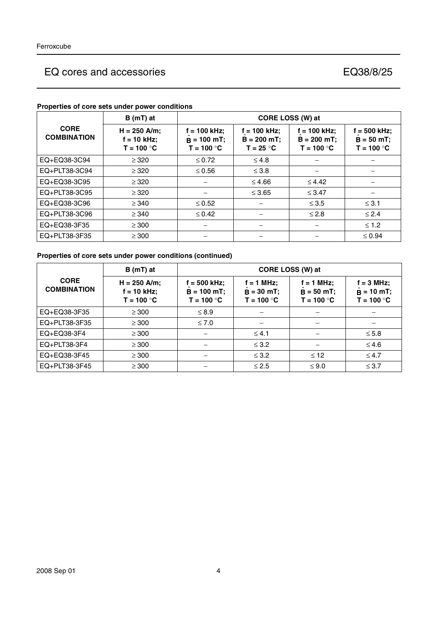|                                   | $B(mT)$ at                                      | CORE LOSS (W) at                              |                                                 |                                                 |                                                |  |
|-----------------------------------|-------------------------------------------------|-----------------------------------------------|-------------------------------------------------|-------------------------------------------------|------------------------------------------------|--|
| <b>CORE</b><br><b>COMBINATION</b> | $H = 250$ A/m;<br>$f = 10$ kHz;<br>$T = 100 °C$ | f = 100 kHz;<br>$B = 100$ mT;<br>$T = 100 °C$ | $f = 100$ kHz;<br>$B = 200 mT$ ;<br>$T = 25 °C$ | $f = 100$ kHz;<br>$B = 200$ mT;<br>$T = 100 °C$ | $f = 500$ kHz;<br>$B = 50 mT;$<br>$T = 100 °C$ |  |
| EQ+EQ38-3C94                      | $\geq$ 320                                      | $\leq 0.72$                                   | $\leq 4.8$                                      |                                                 |                                                |  |
| EQ+PLT38-3C94                     | $\geq$ 320                                      | $\leq 0.56$                                   | $\leq 3.8$                                      |                                                 |                                                |  |
| EQ+EQ38-3C95                      | $\geq$ 320                                      |                                               | $≤ 4.66$                                        | $\leq 4.42$                                     |                                                |  |
| EQ+PLT38-3C95                     | $\geq$ 320                                      |                                               | $\leq 3.65$                                     | $\leq$ 3.47                                     |                                                |  |
| EQ+EQ38-3C96                      | $\geq$ 340                                      | $\leq 0.52$                                   |                                                 | $\leq 3.5$                                      | $\leq$ 3.1                                     |  |
| EQ+PLT38-3C96                     | $\geq$ 340                                      | $\leq 0.42$                                   |                                                 | $\leq 2.8$                                      | $\leq 2.4$                                     |  |
| EQ+EQ38-3F35                      | $\geq 300$                                      |                                               |                                                 |                                                 | $≤ 1.2$                                        |  |
| EQ+PLT38-3F35                     | $\geq 300$                                      |                                               |                                                 |                                                 | $\leq 0.94$                                    |  |

### **Properties of core sets under power conditions**

## **Properties of core sets under power conditions (continued)**

|                                   | B (mT) at                                       | CORE LOSS (W) at                               |                                              |                                              |                                                |  |
|-----------------------------------|-------------------------------------------------|------------------------------------------------|----------------------------------------------|----------------------------------------------|------------------------------------------------|--|
| <b>CORE</b><br><b>COMBINATION</b> | $H = 250$ A/m;<br>$f = 10$ kHz;<br>$T = 100 °C$ | f = 500 kHz:<br>$B = 100 mT$ ;<br>$T = 100 °C$ | $f = 1$ MHz;<br>$B = 30$ mT;<br>$T = 100 °C$ | $f = 1$ MHz;<br>$B = 50$ mT;<br>$T = 100 °C$ | $f = 3 MHz$ ;<br>$B = 10 mT$ ;<br>$T = 100 °C$ |  |
| EQ+EQ38-3F35                      | $\geq$ 300                                      | $\leq 8.9$                                     |                                              |                                              |                                                |  |
| EQ+PLT38-3F35                     | $\geq$ 300                                      | $\leq 7.0$                                     |                                              |                                              |                                                |  |
| EQ+EQ38-3F4                       | $\geq$ 300                                      |                                                | $\leq 4.1$                                   |                                              | $\leq 5.8$                                     |  |
| $EQ+PLT38-3F4$                    | $\geq$ 300                                      |                                                | $\leq$ 3.2                                   |                                              | $\leq 4.6$                                     |  |
| EQ+EQ38-3F45                      | $\geq$ 300                                      |                                                | $\leq$ 3.2                                   | $\leq 12$                                    | $\leq 4.7$                                     |  |
| EQ+PLT38-3F45                     | $\geq$ 300                                      |                                                | $\leq 2.5$                                   | $\leq 9.0$                                   | $\leq 3.7$                                     |  |